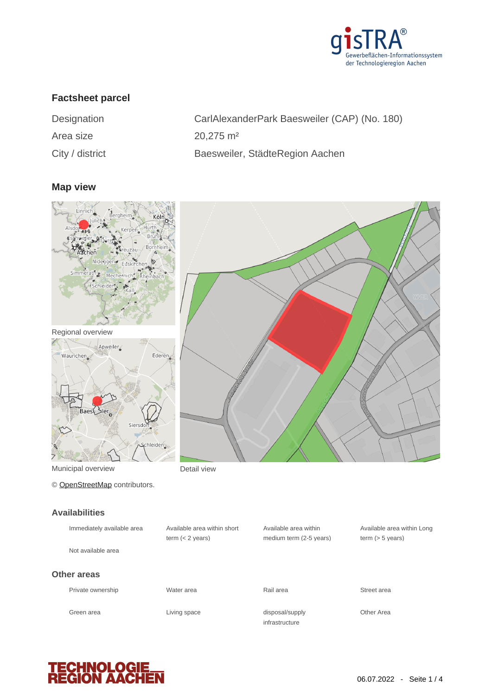

## **Factsheet parcel**

| Designation        |  |
|--------------------|--|
| Area size          |  |
| $C$ ity / dietrict |  |

CarlAlexanderPark Baesweiler (CAP) (No. 180) 20,275 m<sup>2</sup> City / district **Baesweiler**, StädteRegion Aachen

#### **Map view**



© [OpenStreetMap](http://www.openstreetmap.org/copyright) contributors.

# **Availabilities**

**TECHNOLOG<br>REGION AAC** 

| <b>AvaliaUIIILICO</b>      |      |
|----------------------------|------|
| Immediately available area | Avai |
|                            | term |
| Not available area         |      |
|                            |      |
| <b>Other areas</b>         |      |
| Private ownership          | Wate |
|                            |      |
|                            |      |

ilable area within short  $(< 2$  years)

Available area within medium term (2-5 years)

Available area within Long term (> 5 years)

disposal/supply **Other Area** 



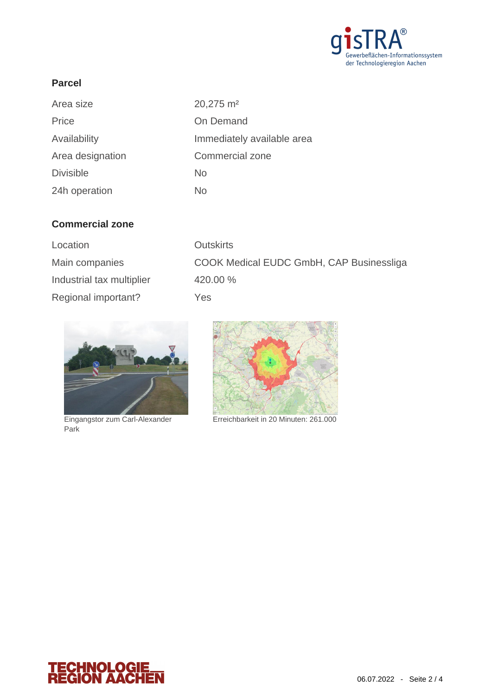

### **Parcel**

| 20,275 m <sup>2</sup>      |
|----------------------------|
| On Demand                  |
| Immediately available area |
| Commercial zone            |
| No                         |
| No                         |
|                            |

### **Commercial zone**

| Location                  | <b>Outskirts</b>                         |
|---------------------------|------------------------------------------|
| Main companies            | COOK Medical EUDC GmbH, CAP Businessliga |
| Industrial tax multiplier | 420.00 %                                 |
| Regional important?       | Yes                                      |



Park



Eingangstor zum Carl-Alexander Erreichbarkeit in 20 Minuten: 261.000

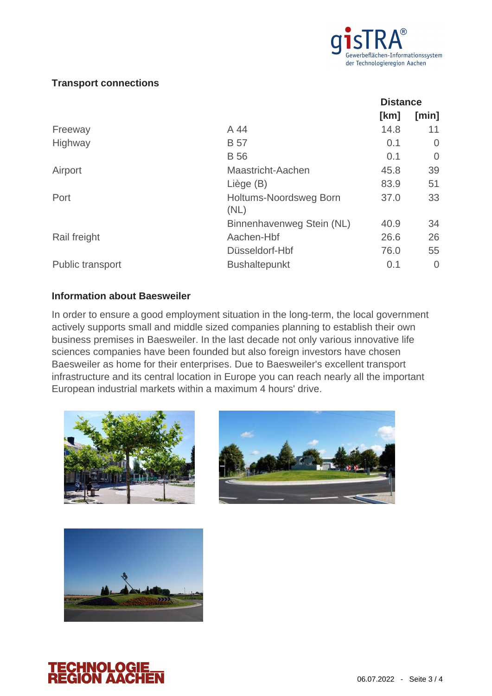

#### **Transport connections**

|                                | <b>Distance</b> |          |
|--------------------------------|-----------------|----------|
|                                | [km]            | [min]    |
| A 44                           | 14.8            | 11       |
| <b>B</b> 57                    | 0.1             | 0        |
| <b>B</b> 56                    | 0.1             | $\Omega$ |
| Maastricht-Aachen              | 45.8            | 39       |
| Liège (B)                      | 83.9            | 51       |
| Holtums-Noordsweg Born<br>(NL) | 37.0            | 33       |
| Binnenhavenweg Stein (NL)      | 40.9            | 34       |
| Aachen-Hbf                     | 26.6            | 26       |
| Düsseldorf-Hbf                 | 76.0            | 55       |
| <b>Bushaltepunkt</b>           | 0.1             | 0        |
|                                |                 |          |

#### **Information about Baesweiler**

In order to ensure a good employment situation in the long-term, the local government actively supports small and middle sized companies planning to establish their own business premises in Baesweiler. In the last decade not only various innovative life sciences companies have been founded but also foreign investors have chosen Baesweiler as home for their enterprises. Due to Baesweiler's excellent transport infrastructure and its central location in Europe you can reach nearly all the important European industrial markets within a maximum 4 hours' drive.